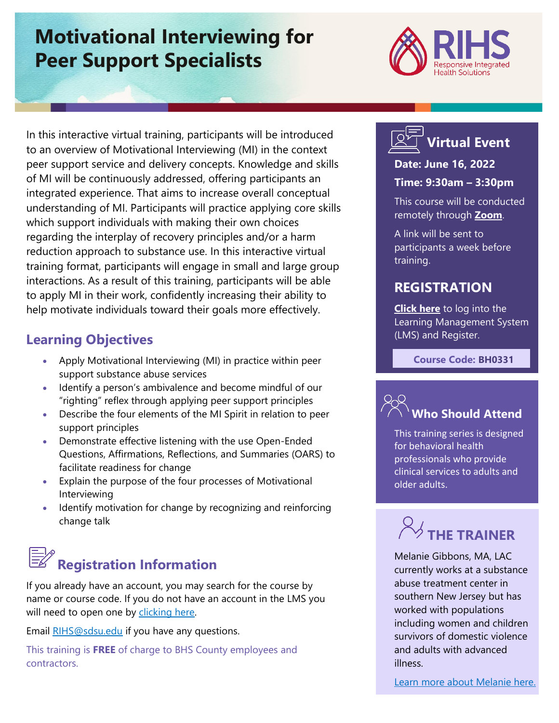# **Motivational Interviewing for Peer Support Specialists**



In this interactive virtual training, participants will be introduced to an overview of Motivational Interviewing (MI) in the context peer support service and delivery concepts. Knowledge and skills of MI will be continuously addressed, offering participants an integrated experience. That aims to increase overall conceptual understanding of MI. Participants will practice applying core skills which support individuals with making their own choices regarding the interplay of recovery principles and/or a harm reduction approach to substance use. In this interactive virtual training format, participants will engage in small and large group interactions. As a result of this training, participants will be able to apply MI in their work, confidently increasing their ability to help motivate individuals toward their goals more effectively.

## **Learning Objectives**

- Apply Motivational Interviewing (MI) in practice within peer support substance abuse services
- Identify a person's ambivalence and become mindful of our "righting" reflex through applying peer support principles
- Describe the four elements of the MI Spirit in relation to peer support principles
- Demonstrate effective listening with the use Open-Ended Questions, Affirmations, Reflections, and Summaries (OARS) to facilitate readiness for change
- Explain the purpose of the four processes of Motivational Interviewing
- Identify motivation for change by recognizing and reinforcing change talk

# **Registration Information**

If you already have an account, you may search for the course by name or course code. If you do not have an account in the LMS you will need to open one by [clicking here.](https://sdsumbrs.az1.qualtrics.com/jfe/form/SV_0c75lYpeur5l9rv)

Email [RIHS@sdsu.edu](file:///C:/Users/mperezgonzalez/Downloads/RIHS@sdsu.edu) if you have any questions.

This training is **FREE** of charge to BHS County employees and contractors.

# **Virtual Event**

## **Date: June 16, 2022**

### **Time: 9:30am – 3:30pm**

This course will be conducted remotely through **[Zoom](https://zoom.us/)**.

A link will be sent to participants a week before training.

## **REGISTRATION**

**[Click here](https://academy.sumtotal.host/Broker/Account/Login.aspx?wtrealm=https%3a%2f%2fACADEMY.sumtotal.host%2fcore%2f&ReturnUrl=http%3a%2f%2facademy.sumtotal.host%2fBroker%2fToken%2fSaml11.ashx%3fwa%3dwsignin1.0%26wtrealm%3dhttps%253a%252f%252fACADEMY.sumtotal.host%252fcore%252f%26wreply%3dhttp%253a%252f%252facademy.sumtotal.host%252fcore%252f&IsHybridOrNativeClient=False&domainid=52160A28FC58BBBE7D714E075077AC76)** to log into the Learning Management System (LMS) and Register.

 **Course Code: BH0331**



## **Who Should Attend**

This training series is designed for behavioral health professionals who provide clinical services to adults and older adults.

# $\overline{\!\!\!/}$  THF TRAINFR

Melanie Gibbons, MA, LAC currently works at a substance abuse treatment center in southern New Jersey but has worked with populations including women and children survivors of domestic violence and adults with advanced illness.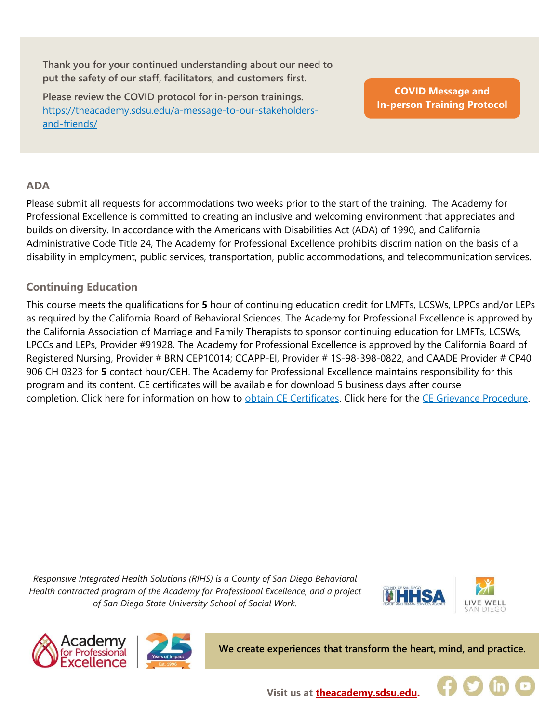**Thank you for your continued understanding about our need to put the safety of our staff, facilitators, and customers first.**

**Please review the COVID protocol for in-person trainings.**  [https://theacademy.sdsu.edu/a-message-to-our-stakeholders](https://theacademy.sdsu.edu/a-message-to-our-stakeholders-and-friends/)[and-friends/](https://theacademy.sdsu.edu/a-message-to-our-stakeholders-and-friends/)

**COVID Message and [In-person Training Protocol](https://theacademy.sdsu.edu/a-message-to-our-stakeholders-and-friends/)**

### **ADA**

Please submit all requests for accommodations two weeks prior to the start of the training. The Academy for Professional Excellence is committed to creating an inclusive and welcoming environment that appreciates and builds on diversity. In accordance with the Americans with Disabilities Act (ADA) of 1990, and California Administrative Code Title 24, The Academy for Professional Excellence prohibits discrimination on the basis of a disability in employment, public services, transportation, public accommodations, and telecommunication services.

### **Continuing Education**

This course meets the qualifications for **5** hour of continuing education credit for LMFTs, LCSWs, LPPCs and/or LEPs as required by the California Board of Behavioral Sciences. The Academy for Professional Excellence is approved by the California Association of Marriage and Family Therapists to sponsor continuing education for LMFTs, LCSWs, LPCCs and LEPs, Provider #91928. The Academy for Professional Excellence is approved by the California Board of Registered Nursing, Provider # BRN CEP10014; CCAPP-EI, Provider # 1S-98-398-0822, and CAADE Provider # CP40 906 CH 0323 for **5** contact hour/CEH. The Academy for Professional Excellence maintains responsibility for this program and its content. CE certificates will be available for download 5 business days after course completion. Click here for information on how to [obtain CE Certificates.](https://theacademy.sdsu.edu/programs/rihs/rihs-faq/) Click here for the [CE Grievance Procedure.](https://drive.google.com/file/d/10H4zN0gLatK2hP5SJpe0HTZkZpYm8GRj/view)

*Responsive Integrated Health Solutions (RIHS) is a County of San Diego Behavioral Health contracted program of the Academy for Professional Excellence, and a project of San Diego State University School of Social Work.*







**We create experiences that transform the heart, mind, and practice.**



**Visit us at [theacademy.sdsu.edu.](https://theacademy.sdsu.edu/)**